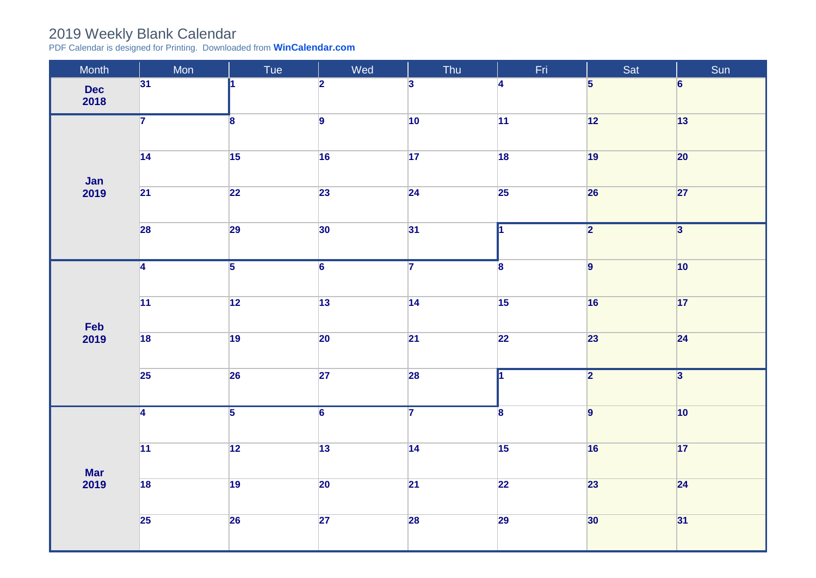## 2019 Weekly Blank Calendar

PDF Calendar is designed for Printing. Downloaded from **[WinCalendar.com](https://www.wincalendar.com/UK/2020-Word-Calendar)**

| Month              | Mon             | Tue             | Wed             | Thu             | Fri                     | Sat                     | Sun                     |
|--------------------|-----------------|-----------------|-----------------|-----------------|-------------------------|-------------------------|-------------------------|
| <b>Dec</b><br>2018 | 31              | и.              | $\overline{2}$  | $\overline{3}$  | $\overline{4}$          | $5\overline{5}$         | $6\overline{6}$         |
| Jan<br>2019        | $\overline{7}$  | $\bf{8}$        | $\overline{9}$  | 10              | $ 11\rangle$            | 12                      | 13                      |
|                    | 14              | $\overline{15}$ | 16              | 17              | $\overline{18}$         | 19                      | 20                      |
|                    | $\overline{21}$ | $\overline{22}$ | 23              | $\overline{24}$ | 25                      | 26                      | 27                      |
|                    | 28              | 29              | 30              | 31              | l1                      | $\overline{\mathbf{2}}$ | $\overline{3}$          |
| Feb<br>2019        | $\overline{4}$  | $\overline{5}$  | $\overline{6}$  | $\overline{7}$  | 8                       | $\overline{9}$          | $ 10\rangle$            |
|                    | 11              | 12              | $\boxed{13}$    | 14              | 15                      | 16                      | 17                      |
|                    | 18              | 19              | 20              | $\overline{21}$ | $\overline{22}$         | 23                      | $\overline{24}$         |
|                    | 25              | 26              | 27              | 28              |                         | $\overline{2}$          | $\overline{\mathbf{3}}$ |
| <b>Mar</b><br>2019 | $\overline{4}$  | $\overline{5}$  | $\overline{6}$  | $\overline{7}$  | $\overline{\mathbf{8}}$ | $\overline{9}$          | $ 10\rangle$            |
|                    | $\overline{11}$ | $\overline{12}$ | $\overline{13}$ | $\overline{14}$ | 15                      | 16                      | 17                      |
|                    | $\overline{18}$ | $\overline{19}$ | $\overline{20}$ | $\overline{21}$ | $\overline{22}$         | 23                      | $\overline{24}$         |
|                    | $\overline{25}$ | 26              | $\overline{27}$ | 28              | 29                      | 30                      | 31                      |
|                    |                 |                 |                 |                 |                         |                         |                         |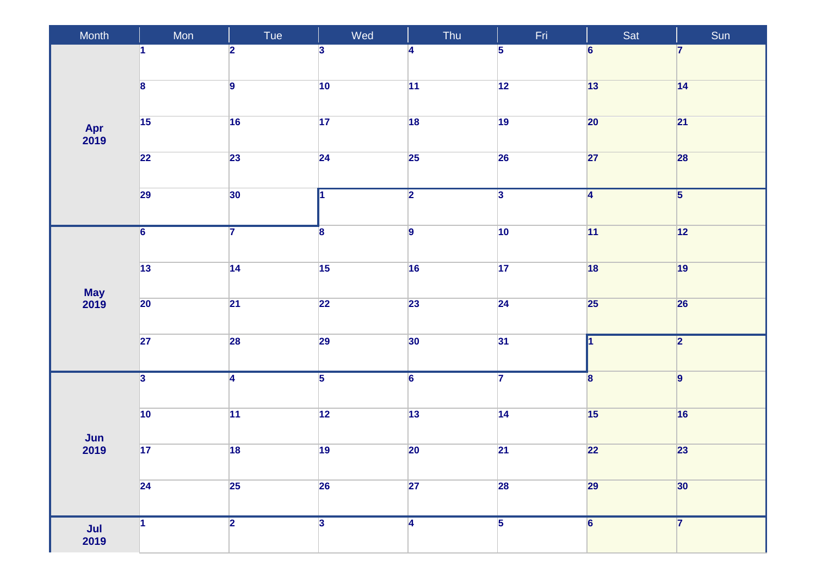| Month                            | Mon                     | Tue                     | Wed                     | Thu                     | Fri             | Sat                     | Sun            |
|----------------------------------|-------------------------|-------------------------|-------------------------|-------------------------|-----------------|-------------------------|----------------|
| Apr<br>2019                      | 1                       | $\overline{\mathbf{2}}$ | $\overline{\mathbf{3}}$ | 4                       | $\overline{5}$  | $6\phantom{a}$          | 7              |
|                                  | $\overline{\mathbf{8}}$ | $\overline{9}$          | $ 10\rangle$            | 11                      | 12              | 13                      | 14             |
|                                  | 15                      | 16                      | 17                      | 18                      | 19              | 20                      | 21             |
|                                  | $\overline{22}$         | 23                      | $\overline{24}$         | $\overline{25}$         | 26              | 27                      | 28             |
|                                  | 29                      | 30                      | l1                      | $\overline{2}$          | $\overline{3}$  | $\overline{4}$          | $\overline{5}$ |
|                                  | $\overline{6}$          | $\overline{7}$          | $\overline{\mathbf{8}}$ | $\overline{9}$          | $ 10\rangle$    | 11                      | $\boxed{12}$   |
|                                  | $\boxed{13}$            | 14                      | $\overline{15}$         | 16                      | 17              | 18                      | 19             |
| May<br>2019                      | 20                      | $\overline{21}$         | 22                      | 23                      | $\overline{24}$ | 25                      | 26             |
|                                  | 27                      | 28                      | 29                      | 30                      | 31              |                         | $\overline{2}$ |
| $\frac{\text{Jun}}{\text{2019}}$ | $\overline{\mathbf{3}}$ | $\overline{4}$          | $\overline{5}$          | $\overline{6}$          | $\overline{7}$  | $\overline{\mathbf{8}}$ | $\vert$ 9      |
|                                  | 10                      | 11                      | $\overline{12}$         | $\boxed{13}$            | 14              | 15                      | 16             |
|                                  | $\overline{17}$         | $\overline{18}$         | 19                      | $\overline{20}$         | $\overline{21}$ | 22                      | 23             |
|                                  | 24                      | 25                      | 26                      | 27                      | <b>28</b>       | 29                      | 30             |
| $\frac{\mathsf{Jul}}{2019}$      | $\vert$ 1               | $\overline{2}$          | $\overline{3}$          | $\overline{\mathbf{4}}$ | $\overline{5}$  | $\overline{6}$          | $\overline{7}$ |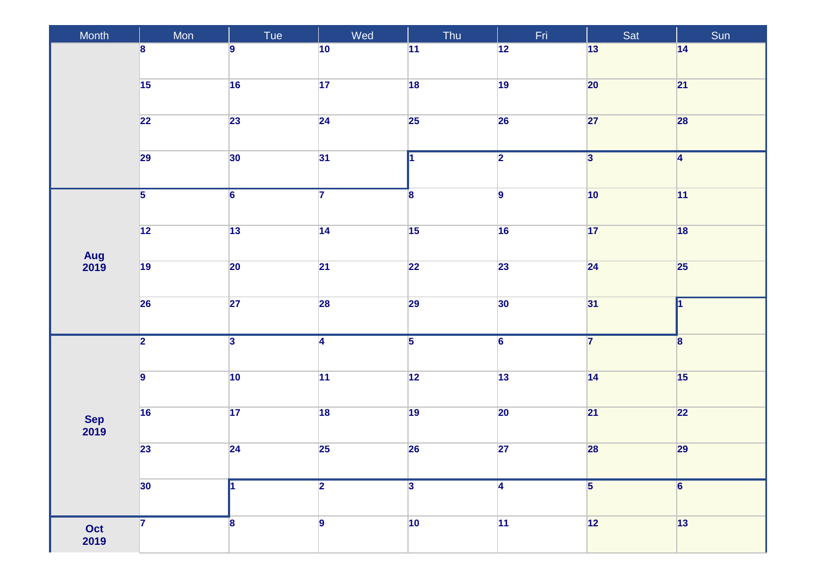| Month       | Mon             | Tue                     | Wed                     | Thu                     | Fri            | Sat                     | Sun             |
|-------------|-----------------|-------------------------|-------------------------|-------------------------|----------------|-------------------------|-----------------|
|             | 8               | $\overline{9}$          | 10                      | 11                      | 12             | 13                      | 14              |
|             | $\overline{15}$ | 16                      | 17                      | 18                      | 19             | 20                      | 21              |
|             | 22              | 23                      | $\overline{24}$         | $\overline{25}$         | 26             | 27                      | 28              |
|             | 29              | 30                      | 31                      |                         | $\overline{2}$ | $\overline{\mathbf{3}}$ | $\overline{4}$  |
|             | $\overline{5}$  | $\overline{6}$          | $\overline{\mathbf{7}}$ | $\overline{\mathbf{8}}$ | $\overline{9}$ | $ 10\rangle$            | 11              |
|             | $\overline{12}$ | 13                      | 14                      | $\overline{15}$         | 16             | 17                      | 18              |
| Aug<br>2019 | 19              | $\overline{20}$         | $\overline{21}$         | $\overline{22}$         | 23             | 24                      | 25              |
|             | 26              | 27                      | <b>28</b>               | 29                      | 30             | 31                      | 1               |
| Sep<br>2019 | $\overline{2}$  | $\overline{\mathbf{3}}$ | $\overline{4}$          | $\overline{5}$          | $\overline{6}$ | $\overline{7}$          | 8               |
|             | $\overline{9}$  | $ 10\rangle$            | 11                      | $\boxed{12}$            | 13             | 14                      | 15              |
|             | $\overline{16}$ | 17                      | $\overline{18}$         | 19                      | $ 20\rangle$   | 21                      | 22              |
|             | 23              | 24                      | 25                      | 26                      | 27             | 28                      | 29              |
|             | 30              |                         | $\overline{2}$          | $\overline{\mathbf{3}}$ | 4              | $\overline{\mathbf{5}}$ | $6\overline{6}$ |
| Oct<br>2019 | 7               | $\boldsymbol{8}$        | $\overline{9}$          | $ 10\rangle$            | 11             | 12                      | 13              |